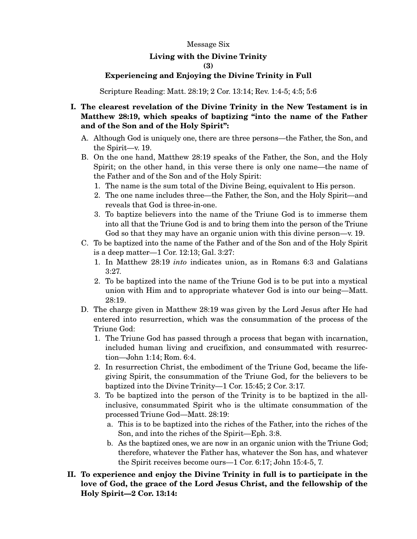### Message Six

# **Living with the Divine Trinity**

### **(3)**

## **Experiencing and Enjoying the Divine Trinity in Full**

Scripture Reading: Matt. 28:19; 2 Cor. 13:14; Rev. 1:4-5; 4:5; 5:6

## **I. The clearest revelation of the Divine Trinity in the New Testament is in Matthew 28:19, which speaks of baptizing "into the name of the Father and of the Son and of the Holy Spirit":**

- A. Although God is uniquely one, there are three persons—the Father, the Son, and the Spirit—v. 19.
- B. On the one hand, Matthew 28:19 speaks of the Father, the Son, and the Holy Spirit; on the other hand, in this verse there is only one name—the name of the Father and of the Son and of the Holy Spirit:
	- 1. The name is the sum total of the Divine Being, equivalent to His person.
	- 2. The one name includes three—the Father, the Son, and the Holy Spirit—and reveals that God is three-in-one.
	- 3. To baptize believers into the name of the Triune God is to immerse them into all that the Triune God is and to bring them into the person of the Triune God so that they may have an organic union with this divine person—v. 19.
- C. To be baptized into the name of the Father and of the Son and of the Holy Spirit is a deep matter—1 Cor. 12:13; Gal. 3:27:
	- 1. In Matthew 28:19 *into* indicates union, as in Romans 6:3 and Galatians 3:27.
	- 2. To be baptized into the name of the Triune God is to be put into a mystical union with Him and to appropriate whatever God is into our being—Matt. 28:19.
- D. The charge given in Matthew 28:19 was given by the Lord Jesus after He had entered into resurrection, which was the consummation of the process of the Triune God:
	- 1. The Triune God has passed through a process that began with incarnation, included human living and crucifixion, and consummated with resurrection—John 1:14; Rom. 6:4.
	- 2. In resurrection Christ, the embodiment of the Triune God, became the lifegiving Spirit, the consummation of the Triune God, for the believers to be baptized into the Divine Trinity—1 Cor. 15:45; 2 Cor. 3:17.
	- 3. To be baptized into the person of the Trinity is to be baptized in the allinclusive, consummated Spirit who is the ultimate consummation of the processed Triune God—Matt. 28:19:
		- a. This is to be baptized into the riches of the Father, into the riches of the Son, and into the riches of the Spirit—Eph. 3:8.
		- b. As the baptized ones, we are now in an organic union with the Triune God; therefore, whatever the Father has, whatever the Son has, and whatever the Spirit receives become ours—1 Cor. 6:17; John 15:4-5, 7.
- **II. To experience and enjoy the Divine Trinity in full is to participate in the love of God, the grace of the Lord Jesus Christ, and the fellowship of the Holy Spirit—2 Cor. 13:14:**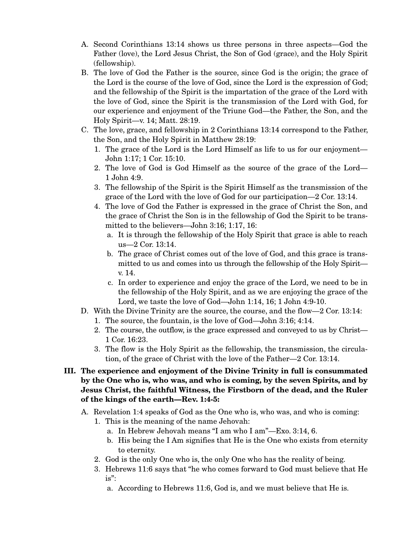- A. Second Corinthians 13:14 shows us three persons in three aspects—God the Father (love), the Lord Jesus Christ, the Son of God (grace), and the Holy Spirit (fellowship).
- B. The love of God the Father is the source, since God is the origin; the grace of the Lord is the course of the love of God, since the Lord is the expression of God; and the fellowship of the Spirit is the impartation of the grace of the Lord with the love of God, since the Spirit is the transmission of the Lord with God, for our experience and enjoyment of the Triune God—the Father, the Son, and the Holy Spirit—v. 14; Matt. 28:19.
- C. The love, grace, and fellowship in 2 Corinthians 13:14 correspond to the Father, the Son, and the Holy Spirit in Matthew 28:19:
	- 1. The grace of the Lord is the Lord Himself as life to us for our enjoyment— John 1:17; 1 Cor. 15:10.
	- 2. The love of God is God Himself as the source of the grace of the Lord— 1 John 4:9.
	- 3. The fellowship of the Spirit is the Spirit Himself as the transmission of the grace of the Lord with the love of God for our participation—2 Cor. 13:14.
	- 4. The love of God the Father is expressed in the grace of Christ the Son, and the grace of Christ the Son is in the fellowship of God the Spirit to be transmitted to the believers—John 3:16; 1:17, 16:
		- a. It is through the fellowship of the Holy Spirit that grace is able to reach us—2 Cor. 13:14.
		- b. The grace of Christ comes out of the love of God, and this grace is transmitted to us and comes into us through the fellowship of the Holy Spirit v. 14.
		- c. In order to experience and enjoy the grace of the Lord, we need to be in the fellowship of the Holy Spirit, and as we are enjoying the grace of the Lord, we taste the love of God—John 1:14, 16; 1 John 4:9-10.
- D. With the Divine Trinity are the source, the course, and the flow—2 Cor. 13:14:
	- 1. The source, the fountain, is the love of God—John 3:16; 4:14.
	- 2. The course, the outflow, is the grace expressed and conveyed to us by Christ— 1 Cor. 16:23.
	- 3. The flow is the Holy Spirit as the fellowship, the transmission, the circulation, of the grace of Christ with the love of the Father—2 Cor. 13:14.
- **III. The experience and enjoyment of the Divine Trinity in full is consummated by the One who is, who was, and who is coming, by the seven Spirits, and by Jesus Christ, the faithful Witness, the Firstborn of the dead, and the Ruler of the kings of the earth—Rev. 1:4-5:** 
	- A. Revelation 1:4 speaks of God as the One who is, who was, and who is coming:
		- 1. This is the meaning of the name Jehovah:
			- a. In Hebrew Jehovah means "I am who I am"—Exo. 3:14, 6.
			- b. His being the I Am signifies that He is the One who exists from eternity to eternity.
		- 2. God is the only One who is, the only One who has the reality of being.
		- 3. Hebrews 11:6 says that "he who comes forward to God must believe that He is":
			- a. According to Hebrews 11:6, God is, and we must believe that He is.